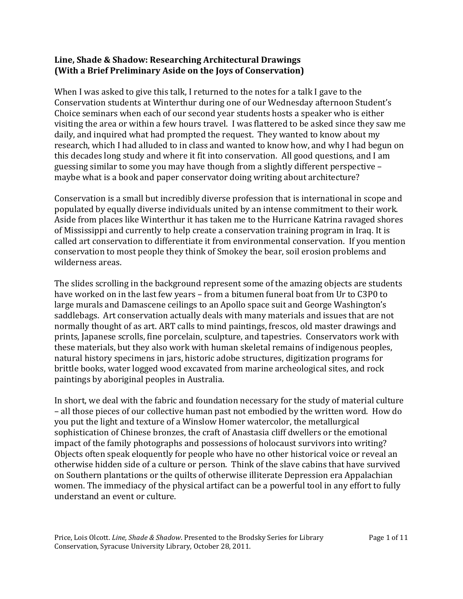## **Line, Shade & Shadow: Researching Architectural Drawings (With a Brief Preliminary Aside on the Joys of Conservation)**

When I was asked to give this talk, I returned to the notes for a talk I gave to the Conservation students at Winterthur during one of our Wednesday afternoon Student's Choice seminars when each of our second year students hosts a speaker who is either visiting the area or within a few hours travel. I was flattered to be asked since they saw me daily, and inquired what had prompted the request. They wanted to know about my research, which I had alluded to in class and wanted to know how, and why I had begun on this decades long study and where it fit into conservation. All good questions, and I am guessing similar to some you may have though from a slightly different perspective – maybe what is a book and paper conservator doing writing about architecture?

Conservation is a small but incredibly diverse profession that is international in scope and populated by equally diverse individuals united by an intense commitment to their work. Aside from places like Winterthur it has taken me to the Hurricane Katrina ravaged shores of Mississippi and currently to help create a conservation training program in Iraq. It is called art conservation to differentiate it from environmental conservation. If you mention conservation to most people they think of Smokey the bear, soil erosion problems and wilderness areas.

The slides scrolling in the background represent some of the amazing objects are students have worked on in the last few years – from a bitumen funeral boat from Ur to C3P0 to large murals and Damascene ceilings to an Apollo space suit and George Washington's saddlebags. Art conservation actually deals with many materials and issues that are not normally thought of as art. ART calls to mind paintings, frescos, old master drawings and prints, Japanese scrolls, fine porcelain, sculpture, and tapestries. Conservators work with these materials, but they also work with human skeletal remains of indigenous peoples, natural history specimens in jars, historic adobe structures, digitization programs for brittle books, water logged wood excavated from marine archeological sites, and rock paintings by aboriginal peoples in Australia.

In short, we deal with the fabric and foundation necessary for the study of material culture – all those pieces of our collective human past not embodied by the written word. How do you put the light and texture of a Winslow Homer watercolor, the metallurgical sophistication of Chinese bronzes, the craft of Anastasia cliff dwellers or the emotional impact of the family photographs and possessions of holocaust survivors into writing? Objects often speak eloquently for people who have no other historical voice or reveal an otherwise hidden side of a culture or person. Think of the slave cabins that have survived on Southern plantations or the quilts of otherwise illiterate Depression era Appalachian women. The immediacy of the physical artifact can be a powerful tool in any effort to fully understand an event or culture.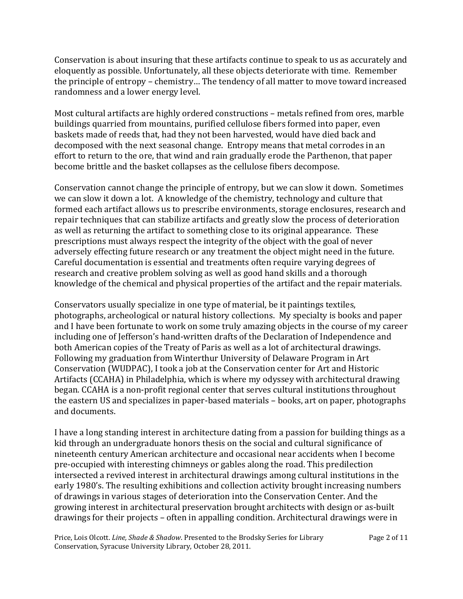Conservation is about insuring that these artifacts continue to speak to us as accurately and eloquently as possible. Unfortunately, all these objects deteriorate with time. Remember the principle of entropy – chemistry… The tendency of all matter to move toward increased randomness and a lower energy level.

Most cultural artifacts are highly ordered constructions – metals refined from ores, marble buildings quarried from mountains, purified cellulose fibers formed into paper, even baskets made of reeds that, had they not been harvested, would have died back and decomposed with the next seasonal change. Entropy means that metal corrodes in an effort to return to the ore, that wind and rain gradually erode the Parthenon, that paper become brittle and the basket collapses as the cellulose fibers decompose.

Conservation cannot change the principle of entropy, but we can slow it down. Sometimes we can slow it down a lot. A knowledge of the chemistry, technology and culture that formed each artifact allows us to prescribe environments, storage enclosures, research and repair techniques that can stabilize artifacts and greatly slow the process of deterioration as well as returning the artifact to something close to its original appearance. These prescriptions must always respect the integrity of the object with the goal of never adversely effecting future research or any treatment the object might need in the future. Careful documentation is essential and treatments often require varying degrees of research and creative problem solving as well as good hand skills and a thorough knowledge of the chemical and physical properties of the artifact and the repair materials.

Conservators usually specialize in one type of material, be it paintings textiles, photographs, archeological or natural history collections. My specialty is books and paper and I have been fortunate to work on some truly amazing objects in the course of my career including one of Jefferson's hand-written drafts of the Declaration of Independence and both American copies of the Treaty of Paris as well as a lot of architectural drawings. Following my graduation from Winterthur University of Delaware Program in Art Conservation (WUDPAC), I took a job at the Conservation center for Art and Historic Artifacts (CCAHA) in Philadelphia, which is where my odyssey with architectural drawing began. CCAHA is a non-profit regional center that serves cultural institutions throughout the eastern US and specializes in paper-based materials – books, art on paper, photographs and documents.

I have a long standing interest in architecture dating from a passion for building things as a kid through an undergraduate honors thesis on the social and cultural significance of nineteenth century American architecture and occasional near accidents when I become pre-occupied with interesting chimneys or gables along the road. This predilection intersected a revived interest in architectural drawings among cultural institutions in the early 1980's. The resulting exhibitions and collection activity brought increasing numbers of drawings in various stages of deterioration into the Conservation Center. And the growing interest in architectural preservation brought architects with design or as-built drawings for their projects – often in appalling condition. Architectural drawings were in

Price, Lois Olcott. *Line, Shade & Shadow*. Presented to the Brodsky Series for Library Conservation, Syracuse University Library, October 28, 2011.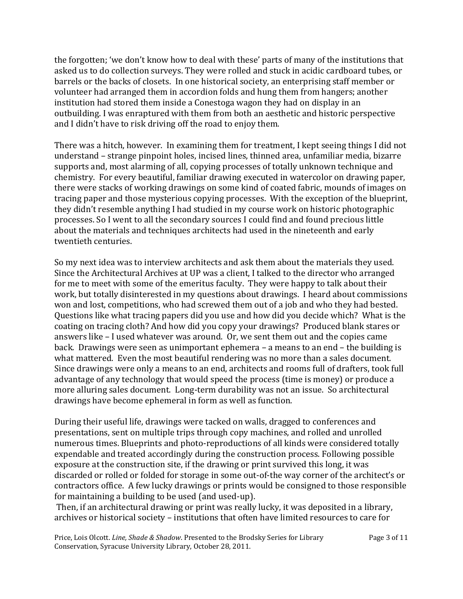the forgotten; 'we don't know how to deal with these' parts of many of the institutions that asked us to do collection surveys. They were rolled and stuck in acidic cardboard tubes, or barrels or the backs of closets. In one historical society, an enterprising staff member or volunteer had arranged them in accordion folds and hung them from hangers; another institution had stored them inside a Conestoga wagon they had on display in an outbuilding. I was enraptured with them from both an aesthetic and historic perspective and I didn't have to risk driving off the road to enjoy them.

There was a hitch, however. In examining them for treatment, I kept seeing things I did not understand – strange pinpoint holes, incised lines, thinned area, unfamiliar media, bizarre supports and, most alarming of all, copying processes of totally unknown technique and chemistry. For every beautiful, familiar drawing executed in watercolor on drawing paper, there were stacks of working drawings on some kind of coated fabric, mounds of images on tracing paper and those mysterious copying processes. With the exception of the blueprint, they didn't resemble anything I had studied in my course work on historic photographic processes. So I went to all the secondary sources I could find and found precious little about the materials and techniques architects had used in the nineteenth and early twentieth centuries.

So my next idea was to interview architects and ask them about the materials they used. Since the Architectural Archives at UP was a client, I talked to the director who arranged for me to meet with some of the emeritus faculty. They were happy to talk about their work, but totally disinterested in my questions about drawings. I heard about commissions won and lost, competitions, who had screwed them out of a job and who they had bested. Questions like what tracing papers did you use and how did you decide which? What is the coating on tracing cloth? And how did you copy your drawings? Produced blank stares or answers like – I used whatever was around. Or, we sent them out and the copies came back. Drawings were seen as unimportant ephemera – a means to an end – the building is what mattered. Even the most beautiful rendering was no more than a sales document. Since drawings were only a means to an end, architects and rooms full of drafters, took full advantage of any technology that would speed the process (time is money) or produce a more alluring sales document. Long-term durability was not an issue. So architectural drawings have become ephemeral in form as well as function.

During their useful life, drawings were tacked on walls, dragged to conferences and presentations, sent on multiple trips through copy machines, and rolled and unrolled numerous times. Blueprints and photo-reproductions of all kinds were considered totally expendable and treated accordingly during the construction process. Following possible exposure at the construction site, if the drawing or print survived this long, it was discarded or rolled or folded for storage in some out-of-the way corner of the architect's or contractors office. A few lucky drawings or prints would be consigned to those responsible for maintaining a building to be used (and used-up).

Then, if an architectural drawing or print was really lucky, it was deposited in a library, archives or historical society – institutions that often have limited resources to care for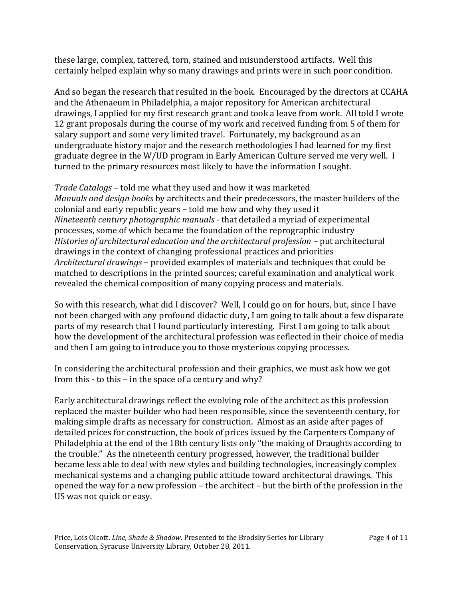these large, complex, tattered, torn, stained and misunderstood artifacts. Well this certainly helped explain why so many drawings and prints were in such poor condition.

And so began the research that resulted in the book. Encouraged by the directors at CCAHA and the Athenaeum in Philadelphia, a major repository for American architectural drawings, I applied for my first research grant and took a leave from work. All told I wrote 12 grant proposals during the course of my work and received funding from 5 of them for salary support and some very limited travel. Fortunately, my background as an undergraduate history major and the research methodologies I had learned for my first graduate degree in the W/UD program in Early American Culture served me very well. I turned to the primary resources most likely to have the information I sought.

*Trade Catalogs* – told me what they used and how it was marketed *Manuals and design books* by architects and their predecessors, the master builders of the colonial and early republic years – told me how and why they used it *Nineteenth century photographic manuals* - that detailed a myriad of experimental processes, some of which became the foundation of the reprographic industry *Histories of architectural education and the architectural profession* – put architectural drawings in the context of changing professional practices and priorities *Architectural drawings* – provided examples of materials and techniques that could be matched to descriptions in the printed sources; careful examination and analytical work revealed the chemical composition of many copying process and materials.

So with this research, what did I discover? Well, I could go on for hours, but, since I have not been charged with any profound didactic duty, I am going to talk about a few disparate parts of my research that I found particularly interesting. First I am going to talk about how the development of the architectural profession was reflected in their choice of media and then I am going to introduce you to those mysterious copying processes.

In considering the architectural profession and their graphics, we must ask how we got from this - to this – in the space of a century and why?

Early architectural drawings reflect the evolving role of the architect as this profession replaced the master builder who had been responsible, since the seventeenth century, for making simple drafts as necessary for construction. Almost as an aside after pages of detailed prices for construction, the book of prices issued by the Carpenters Company of Philadelphia at the end of the 18th century lists only "the making of Draughts according to the trouble." As the nineteenth century progressed, however, the traditional builder became less able to deal with new styles and building technologies, increasingly complex mechanical systems and a changing public attitude toward architectural drawings. This opened the way for a new profession – the architect – but the birth of the profession in the US was not quick or easy.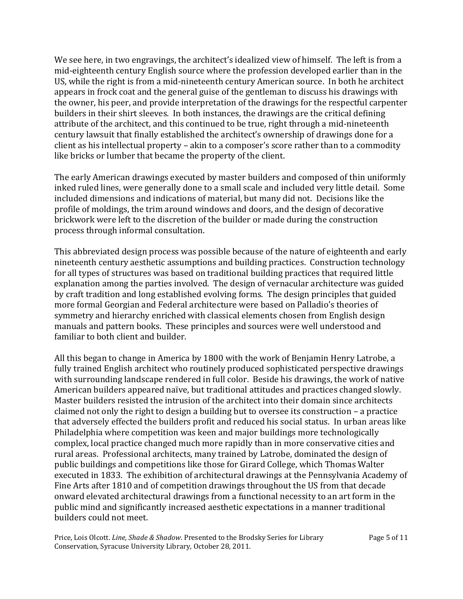We see here, in two engravings, the architect's idealized view of himself. The left is from a mid-eighteenth century English source where the profession developed earlier than in the US, while the right is from a mid-nineteenth century American source. In both he architect appears in frock coat and the general guise of the gentleman to discuss his drawings with the owner, his peer, and provide interpretation of the drawings for the respectful carpenter builders in their shirt sleeves. In both instances, the drawings are the critical defining attribute of the architect, and this continued to be true, right through a mid-nineteenth century lawsuit that finally established the architect's ownership of drawings done for a client as his intellectual property – akin to a composer's score rather than to a commodity like bricks or lumber that became the property of the client.

The early American drawings executed by master builders and composed of thin uniformly inked ruled lines, were generally done to a small scale and included very little detail. Some included dimensions and indications of material, but many did not. Decisions like the profile of moldings, the trim around windows and doors, and the design of decorative brickwork were left to the discretion of the builder or made during the construction process through informal consultation.

This abbreviated design process was possible because of the nature of eighteenth and early nineteenth century aesthetic assumptions and building practices. Construction technology for all types of structures was based on traditional building practices that required little explanation among the parties involved. The design of vernacular architecture was guided by craft tradition and long established evolving forms. The design principles that guided more formal Georgian and Federal architecture were based on Palladio's theories of symmetry and hierarchy enriched with classical elements chosen from English design manuals and pattern books. These principles and sources were well understood and familiar to both client and builder.

All this began to change in America by 1800 with the work of Benjamin Henry Latrobe, a fully trained English architect who routinely produced sophisticated perspective drawings with surrounding landscape rendered in full color. Beside his drawings, the work of native American builders appeared naïve, but traditional attitudes and practices changed slowly. Master builders resisted the intrusion of the architect into their domain since architects claimed not only the right to design a building but to oversee its construction – a practice that adversely effected the builders profit and reduced his social status. In urban areas like Philadelphia where competition was keen and major buildings more technologically complex, local practice changed much more rapidly than in more conservative cities and rural areas. Professional architects, many trained by Latrobe, dominated the design of public buildings and competitions like those for Girard College, which Thomas Walter executed in 1833. The exhibition of architectural drawings at the Pennsylvania Academy of Fine Arts after 1810 and of competition drawings throughout the US from that decade onward elevated architectural drawings from a functional necessity to an art form in the public mind and significantly increased aesthetic expectations in a manner traditional builders could not meet.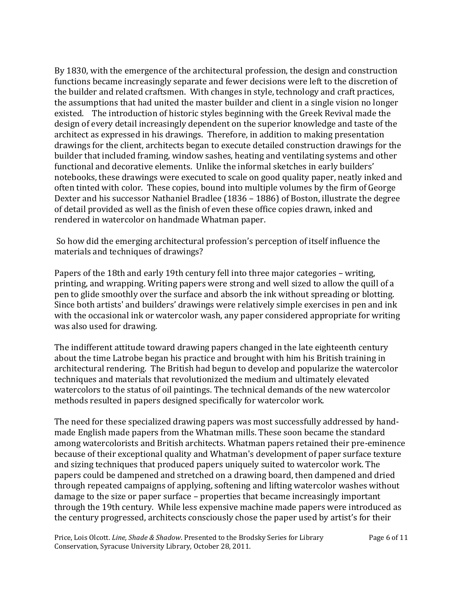By 1830, with the emergence of the architectural profession, the design and construction functions became increasingly separate and fewer decisions were left to the discretion of the builder and related craftsmen. With changes in style, technology and craft practices, the assumptions that had united the master builder and client in a single vision no longer existed. The introduction of historic styles beginning with the Greek Revival made the design of every detail increasingly dependent on the superior knowledge and taste of the architect as expressed in his drawings. Therefore, in addition to making presentation drawings for the client, architects began to execute detailed construction drawings for the builder that included framing, window sashes, heating and ventilating systems and other functional and decorative elements. Unlike the informal sketches in early builders' notebooks, these drawings were executed to scale on good quality paper, neatly inked and often tinted with color. These copies, bound into multiple volumes by the firm of George Dexter and his successor Nathaniel Bradlee (1836 – 1886) of Boston, illustrate the degree of detail provided as well as the finish of even these office copies drawn, inked and rendered in watercolor on handmade Whatman paper.

So how did the emerging architectural profession's perception of itself influence the materials and techniques of drawings?

Papers of the 18th and early 19th century fell into three major categories – writing, printing, and wrapping. Writing papers were strong and well sized to allow the quill of a pen to glide smoothly over the surface and absorb the ink without spreading or blotting. Since both artists' and builders' drawings were relatively simple exercises in pen and ink with the occasional ink or watercolor wash, any paper considered appropriate for writing was also used for drawing.

The indifferent attitude toward drawing papers changed in the late eighteenth century about the time Latrobe began his practice and brought with him his British training in architectural rendering. The British had begun to develop and popularize the watercolor techniques and materials that revolutionized the medium and ultimately elevated watercolors to the status of oil paintings. The technical demands of the new watercolor methods resulted in papers designed specifically for watercolor work.

The need for these specialized drawing papers was most successfully addressed by handmade English made papers from the Whatman mills. These soon became the standard among watercolorists and British architects. Whatman papers retained their pre-eminence because of their exceptional quality and Whatman's development of paper surface texture and sizing techniques that produced papers uniquely suited to watercolor work. The papers could be dampened and stretched on a drawing board, then dampened and dried through repeated campaigns of applying, softening and lifting watercolor washes without damage to the size or paper surface – properties that became increasingly important through the 19th century. While less expensive machine made papers were introduced as the century progressed, architects consciously chose the paper used by artist's for their

Price, Lois Olcott. *Line, Shade & Shadow*. Presented to the Brodsky Series for Library Conservation, Syracuse University Library, October 28, 2011.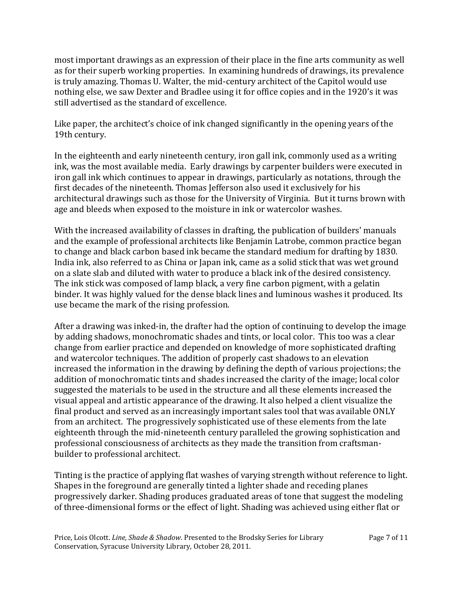most important drawings as an expression of their place in the fine arts community as well as for their superb working properties. In examining hundreds of drawings, its prevalence is truly amazing. Thomas U. Walter, the mid-century architect of the Capitol would use nothing else, we saw Dexter and Bradlee using it for office copies and in the 1920's it was still advertised as the standard of excellence.

Like paper, the architect's choice of ink changed significantly in the opening years of the 19th century.

In the eighteenth and early nineteenth century, iron gall ink, commonly used as a writing ink, was the most available media. Early drawings by carpenter builders were executed in iron gall ink which continues to appear in drawings, particularly as notations, through the first decades of the nineteenth. Thomas Jefferson also used it exclusively for his architectural drawings such as those for the University of Virginia. But it turns brown with age and bleeds when exposed to the moisture in ink or watercolor washes.

With the increased availability of classes in drafting, the publication of builders' manuals and the example of professional architects like Benjamin Latrobe, common practice began to change and black carbon based ink became the standard medium for drafting by 1830. India ink, also referred to as China or Japan ink, came as a solid stick that was wet ground on a slate slab and diluted with water to produce a black ink of the desired consistency. The ink stick was composed of lamp black, a very fine carbon pigment, with a gelatin binder. It was highly valued for the dense black lines and luminous washes it produced. Its use became the mark of the rising profession.

After a drawing was inked-in, the drafter had the option of continuing to develop the image by adding shadows, monochromatic shades and tints, or local color. This too was a clear change from earlier practice and depended on knowledge of more sophisticated drafting and watercolor techniques. The addition of properly cast shadows to an elevation increased the information in the drawing by defining the depth of various projections; the addition of monochromatic tints and shades increased the clarity of the image; local color suggested the materials to be used in the structure and all these elements increased the visual appeal and artistic appearance of the drawing. It also helped a client visualize the final product and served as an increasingly important sales tool that was available ONLY from an architect. The progressively sophisticated use of these elements from the late eighteenth through the mid-nineteenth century paralleled the growing sophistication and professional consciousness of architects as they made the transition from craftsmanbuilder to professional architect.

Tinting is the practice of applying flat washes of varying strength without reference to light. Shapes in the foreground are generally tinted a lighter shade and receding planes progressively darker. Shading produces graduated areas of tone that suggest the modeling of three-dimensional forms or the effect of light. Shading was achieved using either flat or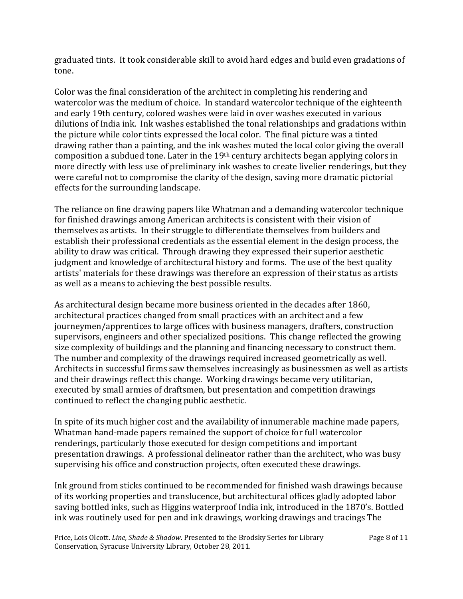graduated tints. It took considerable skill to avoid hard edges and build even gradations of tone.

Color was the final consideration of the architect in completing his rendering and watercolor was the medium of choice. In standard watercolor technique of the eighteenth and early 19th century, colored washes were laid in over washes executed in various dilutions of India ink. Ink washes established the tonal relationships and gradations within the picture while color tints expressed the local color. The final picture was a tinted drawing rather than a painting, and the ink washes muted the local color giving the overall composition a subdued tone. Later in the 19th century architects began applying colors in more directly with less use of preliminary ink washes to create livelier renderings, but they were careful not to compromise the clarity of the design, saving more dramatic pictorial effects for the surrounding landscape.

The reliance on fine drawing papers like Whatman and a demanding watercolor technique for finished drawings among American architects is consistent with their vision of themselves as artists. In their struggle to differentiate themselves from builders and establish their professional credentials as the essential element in the design process, the ability to draw was critical. Through drawing they expressed their superior aesthetic judgment and knowledge of architectural history and forms. The use of the best quality artists' materials for these drawings was therefore an expression of their status as artists as well as a means to achieving the best possible results.

As architectural design became more business oriented in the decades after 1860, architectural practices changed from small practices with an architect and a few journeymen/apprentices to large offices with business managers, drafters, construction supervisors, engineers and other specialized positions. This change reflected the growing size complexity of buildings and the planning and financing necessary to construct them. The number and complexity of the drawings required increased geometrically as well. Architects in successful firms saw themselves increasingly as businessmen as well as artists and their drawings reflect this change. Working drawings became very utilitarian, executed by small armies of draftsmen, but presentation and competition drawings continued to reflect the changing public aesthetic.

In spite of its much higher cost and the availability of innumerable machine made papers, Whatman hand-made papers remained the support of choice for full watercolor renderings, particularly those executed for design competitions and important presentation drawings. A professional delineator rather than the architect, who was busy supervising his office and construction projects, often executed these drawings.

Ink ground from sticks continued to be recommended for finished wash drawings because of its working properties and translucence, but architectural offices gladly adopted labor saving bottled inks, such as Higgins waterproof India ink, introduced in the 1870's. Bottled ink was routinely used for pen and ink drawings, working drawings and tracings The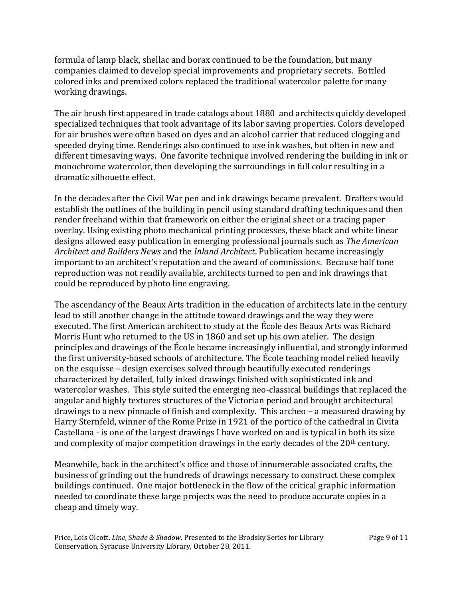formula of lamp black, shellac and borax continued to be the foundation, but many companies claimed to develop special improvements and proprietary secrets. Bottled colored inks and premixed colors replaced the traditional watercolor palette for many working drawings.

The air brush first appeared in trade catalogs about 1880 and architects quickly developed specialized techniques that took advantage of its labor saving properties. Colors developed for air brushes were often based on dyes and an alcohol carrier that reduced clogging and speeded drying time. Renderings also continued to use ink washes, but often in new and different timesaving ways. One favorite technique involved rendering the building in ink or monochrome watercolor, then developing the surroundings in full color resulting in a dramatic silhouette effect.

In the decades after the Civil War pen and ink drawings became prevalent. Drafters would establish the outlines of the building in pencil using standard drafting techniques and then render freehand within that framework on either the original sheet or a tracing paper overlay. Using existing photo mechanical printing processes, these black and white linear designs allowed easy publication in emerging professional journals such as *The American Architect and Builders News* and the *Inland Architect*. Publication became increasingly important to an architect's reputation and the award of commissions. Because half tone reproduction was not readily available, architects turned to pen and ink drawings that could be reproduced by photo line engraving.

The ascendancy of the Beaux Arts tradition in the education of architects late in the century lead to still another change in the attitude toward drawings and the way they were executed. The first American architect to study at the École des Beaux Arts was Richard Morris Hunt who returned to the US in 1860 and set up his own atelier. The design principles and drawings of the École became increasingly influential, and strongly informed the first university-based schools of architecture. The École teaching model relied heavily on the esquisse – design exercises solved through beautifully executed renderings characterized by detailed, fully inked drawings finished with sophisticated ink and watercolor washes. This style suited the emerging neo-classical buildings that replaced the angular and highly textures structures of the Victorian period and brought architectural drawings to a new pinnacle of finish and complexity. This archeo – a measured drawing by Harry Sternfeld, winner of the Rome Prize in 1921 of the portico of the cathedral in Civita Castellana - is one of the largest drawings I have worked on and is typical in both its size and complexity of major competition drawings in the early decades of the 20<sup>th</sup> century.

Meanwhile, back in the architect's office and those of innumerable associated crafts, the business of grinding out the hundreds of drawings necessary to construct these complex buildings continued. One major bottleneck in the flow of the critical graphic information needed to coordinate these large projects was the need to produce accurate copies in a cheap and timely way.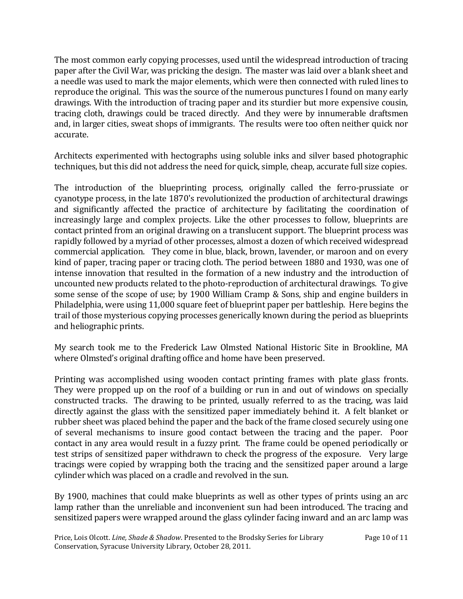The most common early copying processes, used until the widespread introduction of tracing paper after the Civil War, was pricking the design. The master was laid over a blank sheet and a needle was used to mark the major elements, which were then connected with ruled lines to reproduce the original. This was the source of the numerous punctures I found on many early drawings. With the introduction of tracing paper and its sturdier but more expensive cousin, tracing cloth, drawings could be traced directly. And they were by innumerable draftsmen and, in larger cities, sweat shops of immigrants. The results were too often neither quick nor accurate.

Architects experimented with hectographs using soluble inks and silver based photographic techniques, but this did not address the need for quick, simple, cheap, accurate full size copies.

The introduction of the blueprinting process, originally called the ferro-prussiate or cyanotype process, in the late 1870's revolutionized the production of architectural drawings and significantly affected the practice of architecture by facilitating the coordination of increasingly large and complex projects. Like the other processes to follow, blueprints are contact printed from an original drawing on a translucent support. The blueprint process was rapidly followed by a myriad of other processes, almost a dozen of which received widespread commercial application. They come in blue, black, brown, lavender, or maroon and on every kind of paper, tracing paper or tracing cloth. The period between 1880 and 1930, was one of intense innovation that resulted in the formation of a new industry and the introduction of uncounted new products related to the photo-reproduction of architectural drawings. To give some sense of the scope of use; by 1900 William Cramp & Sons, ship and engine builders in Philadelphia, were using 11,000 square feet of blueprint paper per battleship. Here begins the trail of those mysterious copying processes generically known during the period as blueprints and heliographic prints.

My search took me to the Frederick Law Olmsted National Historic Site in Brookline, MA where Olmsted's original drafting office and home have been preserved.

Printing was accomplished using wooden contact printing frames with plate glass fronts. They were propped up on the roof of a building or run in and out of windows on specially constructed tracks. The drawing to be printed, usually referred to as the tracing, was laid directly against the glass with the sensitized paper immediately behind it. A felt blanket or rubber sheet was placed behind the paper and the back of the frame closed securely using one of several mechanisms to insure good contact between the tracing and the paper. Poor contact in any area would result in a fuzzy print. The frame could be opened periodically or test strips of sensitized paper withdrawn to check the progress of the exposure. Very large tracings were copied by wrapping both the tracing and the sensitized paper around a large cylinder which was placed on a cradle and revolved in the sun.

By 1900, machines that could make blueprints as well as other types of prints using an arc lamp rather than the unreliable and inconvenient sun had been introduced. The tracing and sensitized papers were wrapped around the glass cylinder facing inward and an arc lamp was